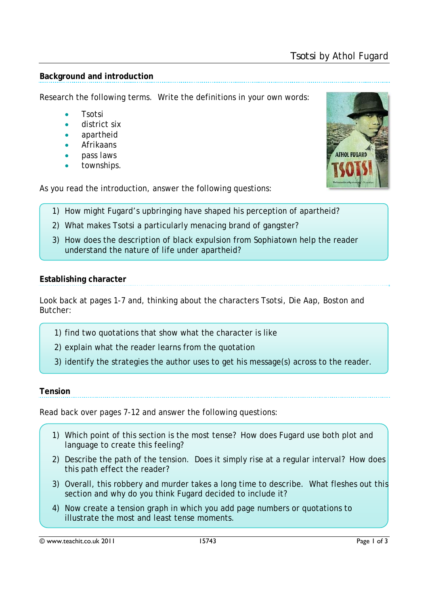### **Background and introduction**

Research the following terms. Write the definitions in your own words:

- Tsotsi
- district six
- apartheid
- Afrikaans
- pass laws
- townships.

As you read the introduction, answer the following questions:

- 1) How might Fugard's upbringing have shaped his perception of apartheid?
- 2) What makes Tsotsi a particularly menacing brand of gangster?
- 3) How does the description of black expulsion from Sophiatown help the reader understand the nature of life under apartheid?

# **Establishing character**

Look back at pages 1-7 and, thinking about the characters Tsotsi, Die Aap, Boston and Butcher:

- 1) find two quotations that show what the character is like
- 2) explain what the reader learns from the quotation
- 3) identify the strategies the author uses to get his message(s) across to the reader.

## **Tension**

Read back over pages 7-12 and answer the following questions:

- 1) Which point of this section is the most tense? How does Fugard use both plot and language to create this feeling?
- 2) Describe the path of the tension. Does it simply rise at a regular interval? How does this path effect the reader?
- 3) Overall, this robbery and murder takes a long time to describe. What fleshes out this section and why do you think Fugard decided to include it?
- 4) Now create a tension graph in which you add page numbers or quotations to illustrate the most and least tense moments.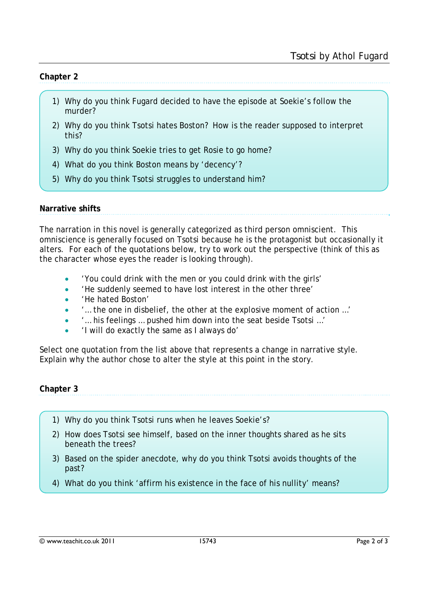#### **Chapter 2**

- 1) Why do you think Fugard decided to have the episode at Soekie's follow the murder?
- 2) Why do you think Tsotsi hates Boston? How is the reader supposed to interpret this?
- 3) Why do you think Soekie tries to get Rosie to go home?
- 4) What do you think Boston means by 'decency'?
- 5) Why do you think Tsotsi struggles to understand him?

### **Narrative shifts**

The narration in this novel is generally categorized as third person omniscient. This omniscience is generally focused on Tsotsi because he is the protagonist but occasionally it alters. For each of the quotations below, try to work out the perspective (think of this as the character whose eyes the reader is looking through).

- 'You could drink with the men or you could drink with the girls'
- 'He suddenly seemed to have lost interest in the other three'
- 'He hated Boston'
- '… the one in disbelief, the other at the explosive moment of action …'
- '… his feelings … pushed him down into the seat beside Tsotsi …'
- 'I will do exactly the same as I always do'

Select one quotation from the list above that represents a change in narrative style. Explain why the author chose to alter the style at this point in the story.

**Chapter 3** 

- 1) Why do you think Tsotsi runs when he leaves Soekie's?
- 2) How does Tsotsi see himself, based on the inner thoughts shared as he sits beneath the trees?
- 3) Based on the spider anecdote, why do you think Tsotsi avoids thoughts of the past?
- 4) What do you think 'affirm his existence in the face of his nullity' means?